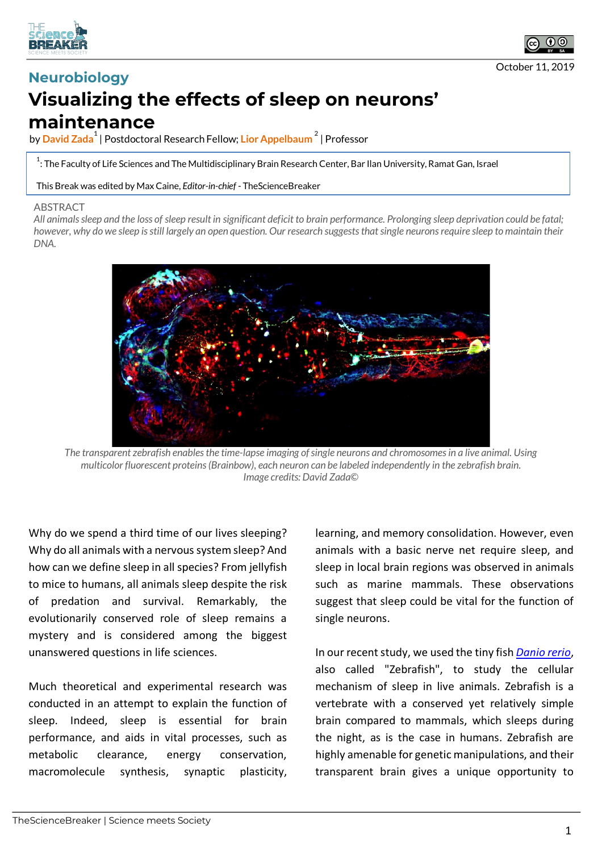



## **Neurobiology Visualizing the effects of sleep on neurons' maintenance**

by **David Zada1** | Postdoctoral Research Fellow; **Lior Appelbaum <sup>2</sup>** | Professor

 $^{\rm 1}$ : The Faculty of Life Sciences and The Multidisciplinary Brain Research Center, Bar Ilan University, Ramat Gan, Israel

This Break was edited by Max Caine, *Editor-in-chief* - TheScienceBreaker

## **ABSTRACT**

*All animals sleep and the loss of sleep result in significant deficit to brain performance. Prolonging sleep deprivation could be fatal; however, why do we sleep is still largely an open question. Our research suggests that single neurons require sleep to maintain their DNA.*



*The transparent zebrafish enables the time-lapse imaging of single neurons and chromosomes in a live animal. Using multicolor fluorescent proteins (Brainbow), each neuron can be labeled independently in the zebrafish brain. Image credits: David Zada©*

Why do we spend a third time of our lives sleeping? Why do all animals with a nervous system sleep? And how can we define sleep in all species? From jellyfish to mice to humans, all animals sleep despite the risk of predation and survival. Remarkably, the evolutionarily conserved role of sleep remains a mystery and is considered among the biggest unanswered questions in life sciences.

Much theoretical and experimental research was conducted in an attempt to explain the function of sleep. Indeed, sleep is essential for brain performance, and aids in vital processes, such as metabolic clearance, energy conservation, macromolecule synthesis, synaptic plasticity,

learning, and memory consolidation. However, even animals with a basic nerve net require sleep, and sleep in local brain regions was observed in animals such as marine mammals. These observations suggest that sleep could be vital for the function of single neurons.

In our recent study, we used the tiny fish *Danio rerio*, also called "Zebrafish", to study the cellular mechanism of sleep in live animals. Zebrafish is a vertebrate with a conserved yet relatively simple brain compared to mammals, which sleeps during the night, as is the case in humans. Zebrafish are highly amenable for genetic manipulations, and their transparent brain gives a unique opportunity to